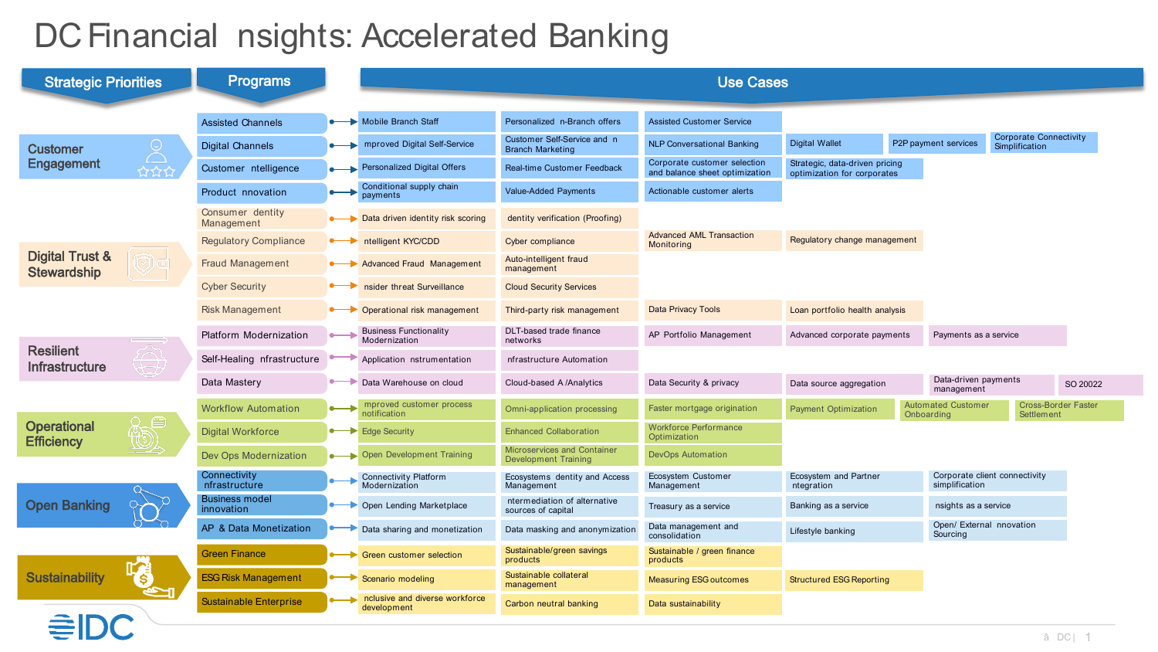## DC Financial nsights: Accelerated Banking